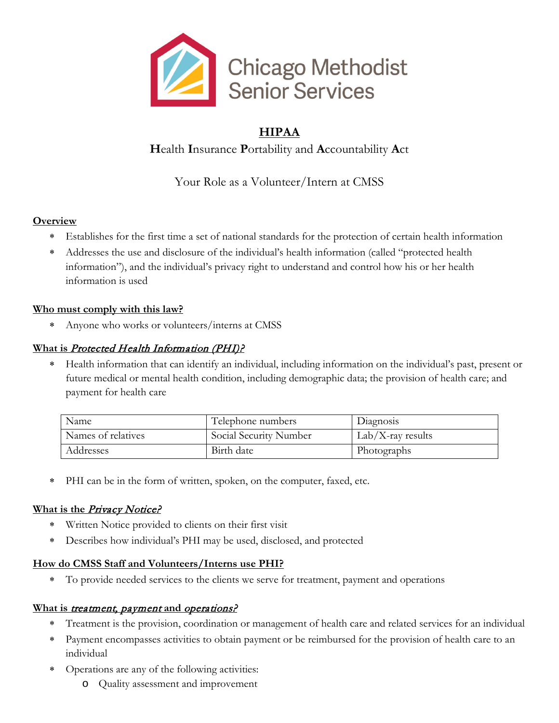

## **HIPAA**

**H**ealth **I**nsurance **P**ortability and **A**ccountability **A**ct

Your Role as a Volunteer/Intern at CMSS

## **Overview**

- ∗ Establishes for the first time a set of national standards for the protection of certain health information
- Addresses the use and disclosure of the individual's health information (called "protected health") information"), and the individual's privacy right to understand and control how his or her health information is used

## **Who must comply with this law?**

∗ Anyone who works or volunteers/interns at CMSS

## **What is** Protected Health Information (PHI)?

∗ Health information that can identify an individual, including information on the individual's past, present or future medical or mental health condition, including demographic data; the provision of health care; and payment for health care

| Name               | Telephone numbers      | Diagnosis            |
|--------------------|------------------------|----------------------|
| Names of relatives | Social Security Number | $Lab/X$ -ray results |
| Addresses          | Birth date             | Photographs          |

∗ PHI can be in the form of written, spoken, on the computer, faxed, etc.

## **What is the Privacy Notice?**

- ∗ Written Notice provided to clients on their first visit
- ∗ Describes how individual's PHI may be used, disclosed, and protected

## **How do CMSS Staff and Volunteers/Interns use PHI?**

∗ To provide needed services to the clients we serve for treatment, payment and operations

#### **What is** treatment, payment **and** operations?

- ∗ Treatment is the provision, coordination or management of health care and related services for an individual
- ∗ Payment encompasses activities to obtain payment or be reimbursed for the provision of health care to an individual
- ∗ Operations are any of the following activities:
	- o Quality assessment and improvement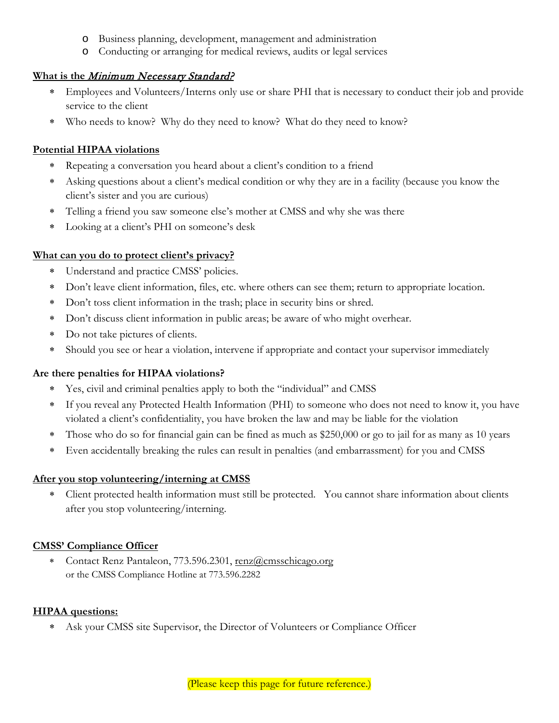- o Business planning, development, management and administration
- o Conducting or arranging for medical reviews, audits or legal services

#### **What is the** Minimum Necessary Standard?

- Employees and Volunteers/Interns only use or share PHI that is necessary to conduct their job and provide service to the client
- ∗ Who needs to know? Why do they need to know? What do they need to know?

#### **Potential HIPAA violations**

- Repeating a conversation you heard about a client's condition to a friend
- Asking questions about a client's medical condition or why they are in a facility (because you know the client's sister and you are curious)
- ∗ Telling a friend you saw someone else's mother at CMSS and why she was there
- Looking at a client's PHI on someone's desk

#### **What can you do to protect client's privacy?**

- ∗ Understand and practice CMSS' policies.
- ∗ Don't leave client information, files, etc. where others can see them; return to appropriate location.
- ∗ Don't toss client information in the trash; place in security bins or shred.
- ∗ Don't discuss client information in public areas; be aware of who might overhear.
- ∗ Do not take pictures of clients.
- Should you see or hear a violation, intervene if appropriate and contact your supervisor immediately

#### **Are there penalties for HIPAA violations?**

- ∗ Yes, civil and criminal penalties apply to both the "individual" and CMSS
- ∗ If you reveal any Protected Health Information (PHI) to someone who does not need to know it, you have violated a client's confidentiality, you have broken the law and may be liable for the violation
- ∗ Those who do so for financial gain can be fined as much as \$250,000 or go to jail for as many as 10 years
- ∗ Even accidentally breaking the rules can result in penalties (and embarrassment) for you and CMSS

#### **After you stop volunteering/interning at CMSS**

Client protected health information must still be protected. You cannot share information about clients after you stop volunteering/interning.

#### **CMSS' Compliance Officer**

∗ Contact Renz Pantaleon, 773.596.2301, [renz@cmsschicago.org](mailto:renz@cmsschicago.org) or the CMSS Compliance Hotline at 773.596.2282

#### **HIPAA questions:**

∗ Ask your CMSS site Supervisor, the Director of Volunteers or Compliance Officer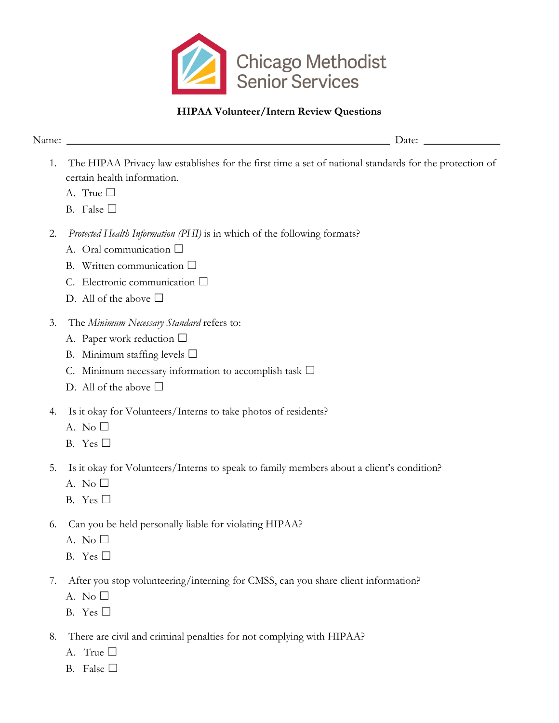

## **HIPAA Volunteer/Intern Review Questions**

Name: \_\_\_\_\_\_\_\_\_\_\_\_\_\_\_\_\_\_\_\_\_\_\_\_\_\_\_\_\_\_\_\_\_\_\_\_\_\_\_\_\_\_\_\_\_\_\_\_\_\_\_\_\_\_\_\_\_\_\_ Date: \_\_\_\_\_\_\_\_\_\_\_\_\_\_

- 1. The HIPAA Privacy law establishes for the first time a set of national standards for the protection of certain health information.
	- A. True □
	- B. False  $\square$
- 2. *Protected Health Information (PHI)* is in which of the following formats?
	- A. Oral communication  $\square$
	- B. Written communication □
	- C. Electronic communication ☐
	- D. All of the above  $\Box$
- 3. The *Minimum Necessary Standard* refers to:
	- A. Paper work reduction  $\Box$
	- B. Minimum staffing levels  $\Box$
	- C. Minimum necessary information to accomplish task  $\Box$
	- D. All of the above  $\Box$
- 4. Is it okay for Volunteers/Interns to take photos of residents?
	- A. No  $\square$
	- B. Yes ☐
- 5. Is it okay for Volunteers/Interns to speak to family members about a client's condition?
	- A. No  $\square$
	- B. Yes  $\square$
- 6. Can you be held personally liable for violating HIPAA?
	- A. No  $\square$
	- B. Yes  $\square$
- 7. After you stop volunteering/interning for CMSS, can you share client information?
	- A. No  $\square$
	- B. Yes  $\square$
- 8. There are civil and criminal penalties for not complying with HIPAA?
	- A. True  $\Box$
	- B. False  $\square$